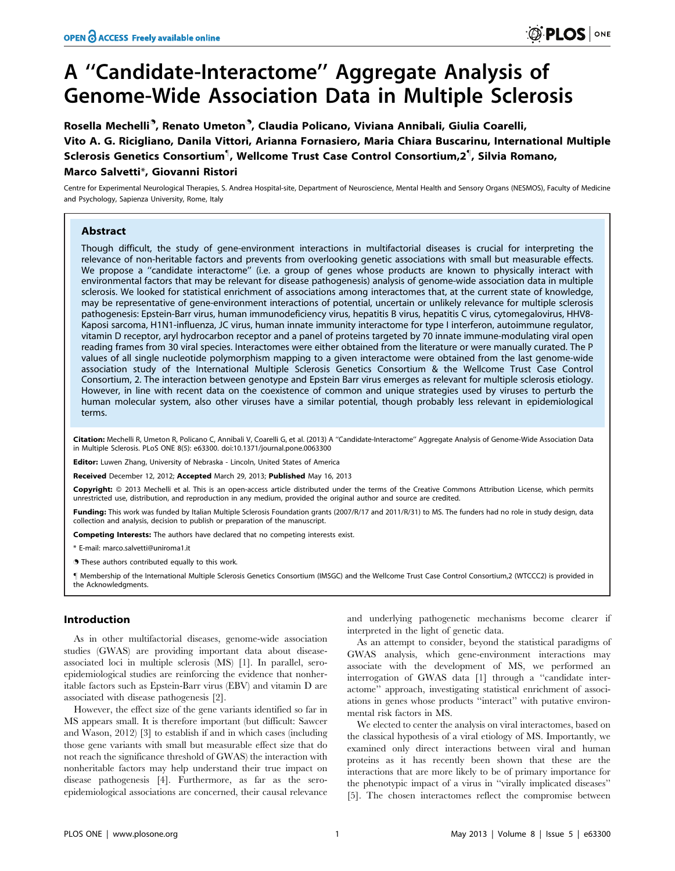# A ''Candidate-Interactome'' Aggregate Analysis of Genome-Wide Association Data in Multiple Sclerosis

Rosella Mechelli<sup>9</sup>, Renato Umeton<sup>9</sup>, Claudia Policano, Viviana Annibali, Giulia Coarelli, Vito A. G. Ricigliano, Danila Vittori, Arianna Fornasiero, Maria Chiara Buscarinu, International Multiple Sclerosis Genetics Consortium<sup>¶</sup>, Wellcome Trust Case Control Consortium,2<sup>¶</sup>, Silvia Romano, Marco Salvetti\*, Giovanni Ristori

Centre for Experimental Neurological Therapies, S. Andrea Hospital-site, Department of Neuroscience, Mental Health and Sensory Organs (NESMOS), Faculty of Medicine and Psychology, Sapienza University, Rome, Italy

# Abstract

Though difficult, the study of gene-environment interactions in multifactorial diseases is crucial for interpreting the relevance of non-heritable factors and prevents from overlooking genetic associations with small but measurable effects. We propose a ''candidate interactome'' (i.e. a group of genes whose products are known to physically interact with environmental factors that may be relevant for disease pathogenesis) analysis of genome-wide association data in multiple sclerosis. We looked for statistical enrichment of associations among interactomes that, at the current state of knowledge, may be representative of gene-environment interactions of potential, uncertain or unlikely relevance for multiple sclerosis pathogenesis: Epstein-Barr virus, human immunodeficiency virus, hepatitis B virus, hepatitis C virus, cytomegalovirus, HHV8-Kaposi sarcoma, H1N1-influenza, JC virus, human innate immunity interactome for type I interferon, autoimmune regulator, vitamin D receptor, aryl hydrocarbon receptor and a panel of proteins targeted by 70 innate immune-modulating viral open reading frames from 30 viral species. Interactomes were either obtained from the literature or were manually curated. The P values of all single nucleotide polymorphism mapping to a given interactome were obtained from the last genome-wide association study of the International Multiple Sclerosis Genetics Consortium & the Wellcome Trust Case Control Consortium, 2. The interaction between genotype and Epstein Barr virus emerges as relevant for multiple sclerosis etiology. However, in line with recent data on the coexistence of common and unique strategies used by viruses to perturb the human molecular system, also other viruses have a similar potential, though probably less relevant in epidemiological terms.

Citation: Mechelli R, Umeton R, Policano C, Annibali V, Coarelli G, et al. (2013) A ''Candidate-Interactome'' Aggregate Analysis of Genome-Wide Association Data in Multiple Sclerosis. PLoS ONE 8(5): e63300. doi:10.1371/journal.pone.0063300

Editor: Luwen Zhang, University of Nebraska - Lincoln, United States of America

Received December 12, 2012; Accepted March 29, 2013; Published May 16, 2013

Copyright: © 2013 Mechelli et al. This is an open-access article distributed under the terms of the Creative Commons Attribution License, which permits unrestricted use, distribution, and reproduction in any medium, provided the original author and source are credited.

Funding: This work was funded by Italian Multiple Sclerosis Foundation grants (2007/R/17 and 2011/R/31) to MS. The funders had no role in study design, data collection and analysis, decision to publish or preparation of the manuscript.

Competing Interests: The authors have declared that no competing interests exist.

\* E-mail: marco.salvetti@uniroma1.it

. These authors contributed equally to this work.

" Membership of the International Multiple Sclerosis Genetics Consortium (IMSGC) and the Wellcome Trust Case Control Consortium,2 (WTCCC2) is provided in the Acknowledgments.

## Introduction

As in other multifactorial diseases, genome-wide association studies (GWAS) are providing important data about diseaseassociated loci in multiple sclerosis (MS) [1]. In parallel, seroepidemiological studies are reinforcing the evidence that nonheritable factors such as Epstein-Barr virus (EBV) and vitamin D are associated with disease pathogenesis [2].

However, the effect size of the gene variants identified so far in MS appears small. It is therefore important (but difficult: Sawcer and Wason, 2012) [3] to establish if and in which cases (including those gene variants with small but measurable effect size that do not reach the significance threshold of GWAS) the interaction with nonheritable factors may help understand their true impact on disease pathogenesis [4]. Furthermore, as far as the seroepidemiological associations are concerned, their causal relevance

and underlying pathogenetic mechanisms become clearer if interpreted in the light of genetic data.

As an attempt to consider, beyond the statistical paradigms of GWAS analysis, which gene-environment interactions may associate with the development of MS, we performed an interrogation of GWAS data [1] through a ''candidate interactome'' approach, investigating statistical enrichment of associations in genes whose products ''interact'' with putative environmental risk factors in MS.

We elected to center the analysis on viral interactomes, based on the classical hypothesis of a viral etiology of MS. Importantly, we examined only direct interactions between viral and human proteins as it has recently been shown that these are the interactions that are more likely to be of primary importance for the phenotypic impact of a virus in ''virally implicated diseases'' [5]. The chosen interactomes reflect the compromise between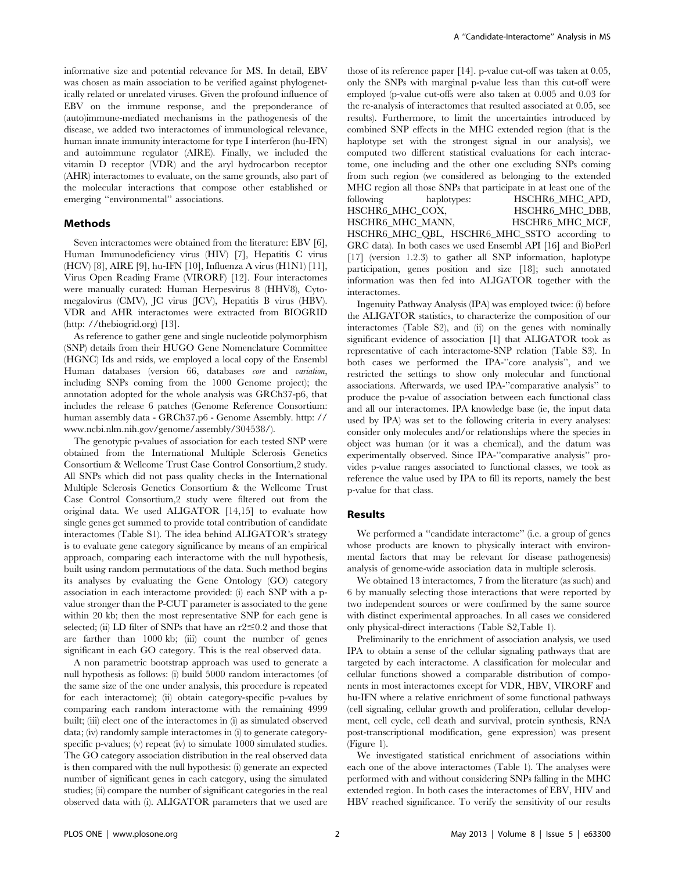informative size and potential relevance for MS. In detail, EBV was chosen as main association to be verified against phylogenetically related or unrelated viruses. Given the profound influence of EBV on the immune response, and the preponderance of (auto)immune-mediated mechanisms in the pathogenesis of the disease, we added two interactomes of immunological relevance, human innate immunity interactome for type I interferon (hu-IFN) and autoimmune regulator (AIRE). Finally, we included the vitamin D receptor (VDR) and the aryl hydrocarbon receptor (AHR) interactomes to evaluate, on the same grounds, also part of the molecular interactions that compose other established or emerging ''environmental'' associations.

#### Methods

Seven interactomes were obtained from the literature: EBV [6], Human Immunodeficiency virus (HIV) [7], Hepatitis C virus (HCV) [8], AIRE [9], hu-IFN [10], Influenza A virus (H1N1) [11], Virus Open Reading Frame (VIRORF) [12]. Four interactomes were manually curated: Human Herpesvirus 8 (HHV8), Cytomegalovirus (CMV), JC virus (JCV), Hepatitis B virus (HBV). VDR and AHR interactomes were extracted from BIOGRID (http: //thebiogrid.org) [13].

As reference to gather gene and single nucleotide polymorphism (SNP) details from their HUGO Gene Nomenclature Committee (HGNC) Ids and rsids, we employed a local copy of the Ensembl Human databases (version 66, databases core and variation, including SNPs coming from the 1000 Genome project); the annotation adopted for the whole analysis was GRCh37-p6, that includes the release 6 patches (Genome Reference Consortium: human assembly data - GRCh37.p6 - Genome Assembly. http: // www.ncbi.nlm.nih.gov/genome/assembly/304538/).

The genotypic p-values of association for each tested SNP were obtained from the International Multiple Sclerosis Genetics Consortium & Wellcome Trust Case Control Consortium,2 study. All SNPs which did not pass quality checks in the International Multiple Sclerosis Genetics Consortium & the Wellcome Trust Case Control Consortium,2 study were filtered out from the original data. We used ALIGATOR [14,15] to evaluate how single genes get summed to provide total contribution of candidate interactomes (Table S1). The idea behind ALIGATOR's strategy is to evaluate gene category significance by means of an empirical approach, comparing each interactome with the null hypothesis, built using random permutations of the data. Such method begins its analyses by evaluating the Gene Ontology (GO) category association in each interactome provided: (i) each SNP with a pvalue stronger than the P-CUT parameter is associated to the gene within 20 kb; then the most representative SNP for each gene is selected; (ii) LD filter of SNPs that have an  $r2 \le 0.2$  and those that are farther than 1000 kb; (iii) count the number of genes significant in each GO category. This is the real observed data.

A non parametric bootstrap approach was used to generate a null hypothesis as follows: (i) build 5000 random interactomes (of the same size of the one under analysis, this procedure is repeated for each interactome); (ii) obtain category-specific p-values by comparing each random interactome with the remaining 4999 built; (iii) elect one of the interactomes in (i) as simulated observed data; (iv) randomly sample interactomes in (i) to generate categoryspecific p-values; (v) repeat (iv) to simulate 1000 simulated studies. The GO category association distribution in the real observed data is then compared with the null hypothesis: (i) generate an expected number of significant genes in each category, using the simulated studies; (ii) compare the number of significant categories in the real observed data with (i). ALIGATOR parameters that we used are

those of its reference paper [14]. p-value cut-off was taken at 0.05, only the SNPs with marginal p-value less than this cut-off were employed (p-value cut-offs were also taken at 0.005 and 0.03 for the re-analysis of interactomes that resulted associated at 0.05, see results). Furthermore, to limit the uncertainties introduced by combined SNP effects in the MHC extended region (that is the haplotype set with the strongest signal in our analysis), we computed two different statistical evaluations for each interactome, one including and the other one excluding SNPs coming from such region (we considered as belonging to the extended MHC region all those SNPs that participate in at least one of the following haplotypes: HSCHR6\_MHC\_APD, HSCHR6\_MHC\_COX, HSCHR6\_MHC\_DBB, HSCHR6\_MHC\_MANN, HSCHR6\_MHC\_MCF, HSCHR6\_MHC\_QBL, HSCHR6\_MHC\_SSTO according to GRC data). In both cases we used Ensembl API [16] and BioPerl [17] (version 1.2.3) to gather all SNP information, haplotype participation, genes position and size [18]; such annotated information was then fed into ALIGATOR together with the interactomes.

Ingenuity Pathway Analysis (IPA) was employed twice: (i) before the ALIGATOR statistics, to characterize the composition of our interactomes (Table S2), and (ii) on the genes with nominally significant evidence of association [1] that ALIGATOR took as representative of each interactome-SNP relation (Table S3). In both cases we performed the IPA-''core analysis'', and we restricted the settings to show only molecular and functional associations. Afterwards, we used IPA-''comparative analysis'' to produce the p-value of association between each functional class and all our interactomes. IPA knowledge base (ie, the input data used by IPA) was set to the following criteria in every analyses: consider only molecules and/or relationships where the species in object was human (or it was a chemical), and the datum was experimentally observed. Since IPA-''comparative analysis'' provides p-value ranges associated to functional classes, we took as reference the value used by IPA to fill its reports, namely the best p-value for that class.

#### Results

We performed a ''candidate interactome'' (i.e. a group of genes whose products are known to physically interact with environmental factors that may be relevant for disease pathogenesis) analysis of genome-wide association data in multiple sclerosis.

We obtained 13 interactomes, 7 from the literature (as such) and 6 by manually selecting those interactions that were reported by two independent sources or were confirmed by the same source with distinct experimental approaches. In all cases we considered only physical-direct interactions (Table S2,Table 1).

Preliminarily to the enrichment of association analysis, we used IPA to obtain a sense of the cellular signaling pathways that are targeted by each interactome. A classification for molecular and cellular functions showed a comparable distribution of components in most interactomes except for VDR, HBV, VIRORF and hu-IFN where a relative enrichment of some functional pathways (cell signaling, cellular growth and proliferation, cellular development, cell cycle, cell death and survival, protein synthesis, RNA post-transcriptional modification, gene expression) was present (Figure 1).

We investigated statistical enrichment of associations within each one of the above interactomes (Table 1). The analyses were performed with and without considering SNPs falling in the MHC extended region. In both cases the interactomes of EBV, HIV and HBV reached significance. To verify the sensitivity of our results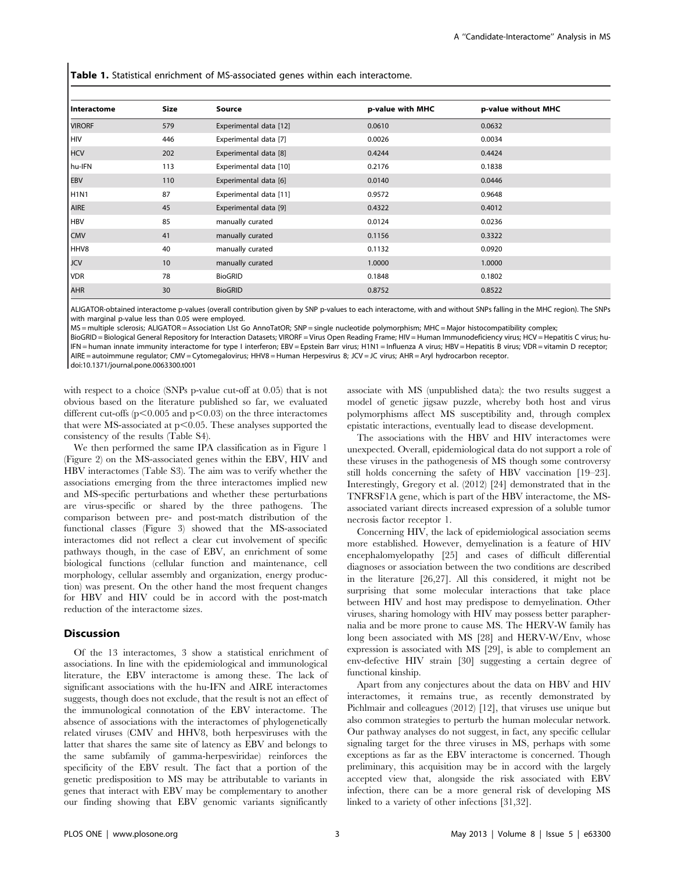Table 1. Statistical enrichment of MS-associated genes within each interactome.

| Interactome      | Size | Source                 | p-value with MHC | p-value without MHC |
|------------------|------|------------------------|------------------|---------------------|
| <b>VIRORF</b>    | 579  | Experimental data [12] | 0.0610           | 0.0632              |
| <b>HIV</b>       | 446  | Experimental data [7]  | 0.0026           | 0.0034              |
| <b>HCV</b>       | 202  | Experimental data [8]  | 0.4244           | 0.4424              |
| hu-IFN           | 113  | Experimental data [10] | 0.2176           | 0.1838              |
| <b>EBV</b>       | 110  | Experimental data [6]  | 0.0140           | 0.0446              |
| H <sub>1N1</sub> | 87   | Experimental data [11] | 0.9572           | 0.9648              |
| <b>AIRE</b>      | 45   | Experimental data [9]  | 0.4322           | 0.4012              |
| <b>HBV</b>       | 85   | manually curated       | 0.0124           | 0.0236              |
| <b>CMV</b>       | 41   | manually curated       | 0.1156           | 0.3322              |
| HHV8             | 40   | manually curated       | 0.1132           | 0.0920              |
| <b>JCV</b>       | 10   | manually curated       | 1.0000           | 1.0000              |
| <b>VDR</b>       | 78   | <b>BioGRID</b>         | 0.1848           | 0.1802              |
| <b>AHR</b>       | 30   | <b>BioGRID</b>         | 0.8752           | 0.8522              |

ALIGATOR-obtained interactome p-values (overall contribution given by SNP p-values to each interactome, with and without SNPs falling in the MHC region). The SNPs with marginal p-value less than 0.05 were employed.

MS = multiple sclerosis; ALIGATOR = Association LIst Go AnnoTatOR; SNP = single nucleotide polymorphism; MHC = Major histocompatibility complex;

BioGRID = Biological General Repository for Interaction Datasets; VIRORF = Virus Open Reading Frame; HIV = Human Immunodeficiency virus; HCV = Hepatitis C virus; hu-IFN = human innate immunity interactome for type I interferon; EBV = Epstein Barr virus; H1N1 = Influenza A virus; HBV = Hepatitis B virus; VDR = vitamin D receptor; AIRE = autoimmune regulator; CMV = Cytomegalovirus; HHV8 = Human Herpesvirus 8; JCV = JC virus; AHR = Aryl hydrocarbon receptor.

doi:10.1371/journal.pone.0063300.t001

with respect to a choice (SNPs p-value cut-off at 0.05) that is not obvious based on the literature published so far, we evaluated different cut-offs (p<0.005 and p<0.03) on the three interactomes that were MS-associated at  $p<0.05$ . These analyses supported the consistency of the results (Table S4).

We then performed the same IPA classification as in Figure 1 (Figure 2) on the MS-associated genes within the EBV, HIV and HBV interactomes (Table S3). The aim was to verify whether the associations emerging from the three interactomes implied new and MS-specific perturbations and whether these perturbations are virus-specific or shared by the three pathogens. The comparison between pre- and post-match distribution of the functional classes (Figure 3) showed that the MS-associated interactomes did not reflect a clear cut involvement of specific pathways though, in the case of EBV, an enrichment of some biological functions (cellular function and maintenance, cell morphology, cellular assembly and organization, energy production) was present. On the other hand the most frequent changes for HBV and HIV could be in accord with the post-match reduction of the interactome sizes.

#### **Discussion**

Of the 13 interactomes, 3 show a statistical enrichment of associations. In line with the epidemiological and immunological literature, the EBV interactome is among these. The lack of significant associations with the hu-IFN and AIRE interactomes suggests, though does not exclude, that the result is not an effect of the immunological connotation of the EBV interactome. The absence of associations with the interactomes of phylogenetically related viruses (CMV and HHV8, both herpesviruses with the latter that shares the same site of latency as EBV and belongs to the same subfamily of gamma-herpesviridae) reinforces the specificity of the EBV result. The fact that a portion of the genetic predisposition to MS may be attributable to variants in genes that interact with EBV may be complementary to another our finding showing that EBV genomic variants significantly associate with MS (unpublished data): the two results suggest a model of genetic jigsaw puzzle, whereby both host and virus polymorphisms affect MS susceptibility and, through complex epistatic interactions, eventually lead to disease development.

The associations with the HBV and HIV interactomes were unexpected. Overall, epidemiological data do not support a role of these viruses in the pathogenesis of MS though some controversy still holds concerning the safety of HBV vaccination [19–23]. Interestingly, Gregory et al. (2012) [24] demonstrated that in the TNFRSF1A gene, which is part of the HBV interactome, the MSassociated variant directs increased expression of a soluble tumor necrosis factor receptor 1.

Concerning HIV, the lack of epidemiological association seems more established. However, demyelination is a feature of HIV encephalomyelopathy [25] and cases of difficult differential diagnoses or association between the two conditions are described in the literature [26,27]. All this considered, it might not be surprising that some molecular interactions that take place between HIV and host may predispose to demyelination. Other viruses, sharing homology with HIV may possess better paraphernalia and be more prone to cause MS. The HERV-W family has long been associated with MS [28] and HERV-W/Env, whose expression is associated with MS [29], is able to complement an env-defective HIV strain [30] suggesting a certain degree of functional kinship.

Apart from any conjectures about the data on HBV and HIV interactomes, it remains true, as recently demonstrated by Pichlmair and colleagues (2012) [12], that viruses use unique but also common strategies to perturb the human molecular network. Our pathway analyses do not suggest, in fact, any specific cellular signaling target for the three viruses in MS, perhaps with some exceptions as far as the EBV interactome is concerned. Though preliminary, this acquisition may be in accord with the largely accepted view that, alongside the risk associated with EBV infection, there can be a more general risk of developing MS linked to a variety of other infections [31,32].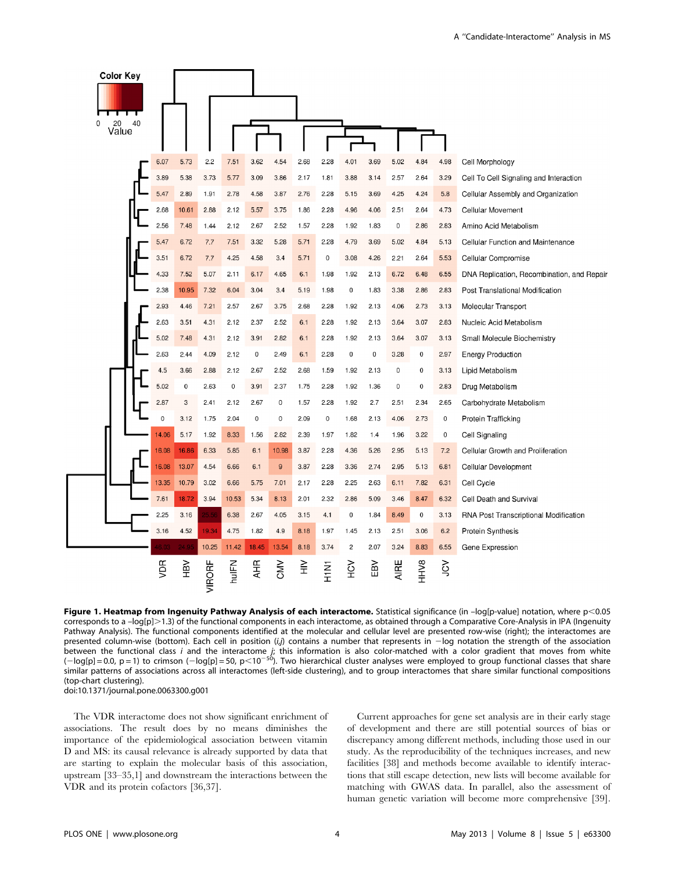| <b>Color Key</b>       |            |       |        |           |                  |         |         |            |                         |                  |             |                  |             |                                            |
|------------------------|------------|-------|--------|-----------|------------------|---------|---------|------------|-------------------------|------------------|-------------|------------------|-------------|--------------------------------------------|
|                        |            |       |        |           |                  |         |         |            |                         |                  |             |                  |             |                                            |
|                        |            |       |        |           |                  |         |         |            |                         |                  |             |                  |             |                                            |
| 0<br>20<br>40<br>Value |            |       |        |           |                  |         |         |            |                         |                  |             |                  |             |                                            |
|                        |            |       |        |           |                  |         |         |            |                         |                  |             |                  |             |                                            |
|                        | 6.07       | 5.73  | 2.2    | 7.51      | 3.62             | 4.54    | 2.68    | 2.28       | 4.01                    | 3.69             | 5.02        | 4.84             | 4.98        | Cell Morphology                            |
|                        | 3.89       | 5.38  | 3.73   | 5.77      | 3.09             | 3.86    | 2.17    | 1.81       | 3.88                    | 3.14             | 2.57        | 2.64             | 3.29        | Cell To Cell Signaling and Interaction     |
|                        | 5.47       | 2.89  | 1.91   | 2.78      | 4.58             | 3.87    | 2.76    | 2.28       | 5.15                    | 3.69             | 4.25        | 4.24             | 5.8         | Cellular Assembly and Organization         |
|                        | 2.68       | 10.61 | 2.88   | 2.12      | 5.57             | 3.75    | 1.86    | 2.28       | 4.96                    | 4.06             | 2.51        | 2.64             | 4.73        | Cellular Movement                          |
|                        | 2.56       | 7.48  | 1.44   | 2.12      | 2.67             | 2.52    | 1.57    | 2.28       | 1.92                    | 1.83             | 0           | 2.86             | 2.83        | Amino Acid Metabolism                      |
|                        | 5.47       | 6.72  | 7.7    | 7.51      | 3.32             | 5.28    | 5.71    | 2.28       | 4.79                    | 3.69             | 5.02        | 4.84             | 5.13        | Cellular Function and Maintenance          |
|                        | 3.51       | 6.72  | 7.7    | 4.25      | 4.58             | 3.4     | 5.71    | $\,0\,$    | 3.08                    | 4.26             | 2.21        | 2.64             | 5.53        | Cellular Compromise                        |
|                        | 4.33       | 7.52  | 5.07   | 2.11      | 6.17             | 4.65    | 6.1     | 1.98       | 1.92                    | 2.13             | 6.72        | 6.48             | 6.55        | DNA Replication, Recombination, and Repair |
|                        | 2.38       | 10.95 | 7.32   | 6.04      | 3.04             | 3.4     | 5.19    | 1.98       | $\pmb{0}$               | 1.83             | 3.38        | 2.86             | 2.83        | Post Translational Modification            |
|                        | 2.93       | 4.46  | 7.21   | 2.57      | 2.67             | 3.75    | 2.68    | 2.28       | 1.92                    | 2.13             | 4.06        | 2.73             | 3.13        | Molecular Transport                        |
|                        | 2.63       | 3.51  | 4.31   | 2.12      | 2.37             | 2.52    | 6.1     | 2.28       | 1.92                    | 2.13             | 3.64        | 3.07             | 2.83        | Nucleic Acid Metabolism                    |
|                        | 5.02       | 7.48  | 4.31   | 2.12      | 3.91             | 2.82    | 6.1     | 2.28       | 1.92                    | 2.13             | 3.64        | 3.07             | 3.13        | Small Molecule Biochemistry                |
|                        | 2.63       | 2.44  | 4.09   | 2.12      | 0                | 2.49    | 6.1     | 2.28       | $\pmb{0}$               | $\boldsymbol{0}$ | 3.28        | 0                | 2.97        | <b>Energy Production</b>                   |
|                        | 4.5        | 3.66  | 2.88   | 2.12      | 2.67             | 2.52    | 2.68    | 1.59       | 1.92                    | 2.13             | $\mathbf 0$ | 0                | 3.13        | Lipid Metabolism                           |
|                        | 5.02       | 0     | 2.63   | $\pmb{0}$ | 3.91             | 2.37    | 1.75    | 2.28       | 1.92                    | 1.36             | 0           | $\boldsymbol{0}$ | 2.83        | Drug Metabolism                            |
|                        | 2.87       | 3     | 2.41   | 2.12      | 2.67             | $\,0\,$ | 1.57    | 2.28       | 1.92                    | 2.7              | 2.51        | 2.34             | 2.65        | Carbohydrate Metabolism                    |
|                        | 0          | 3.12  | 1.75   | 2.04      | $\boldsymbol{0}$ | $\,0\,$ | 2.09    | 0          | 1.68                    | 2.13             | 4.06        | 2.73             | $\,0\,$     | Protein Trafficking                        |
|                        | 14.06      | 5.17  | 1.92   | 8.33      | 1.56             | 2.82    | 2.39    | 1.97       | 1.82                    | 1.4              | 1.96        | 3.22             | $\mathsf 0$ | Cell Signaling                             |
|                        | 16.08      | 16.86 | 6.33   | 5.85      | 6.1              | 10.98   | 3.87    | 2.28       | 4.36                    | 5.26             | 2.95        | 5.13             | 7.2         | Cellular Growth and Proliferation          |
|                        | 16.08      | 13.07 | 4.54   | 6.66      | 6.1              | 9       | 3.87    | 2.28       | 3.36                    | 2.74             | 2.95        | 5.13             | 6.81        | Cellular Development                       |
|                        | 13.35      | 10.79 | 3.02   | 6.66      | 5.75             | 7.01    | 2.17    | 2.28       | 2.25                    | 2.63             | 6.11        | 7.82             | 6.31        | Cell Cycle                                 |
|                        | 7.61       | 18.72 | 3.94   | 10.53     | 5.34             | 8.13    | 2.01    | 2.32       | 2.86                    | 5.09             | 3.46        | 8.47             | 6.32        | Cell Death and Survival                    |
|                        | 2.25       | 3.16  | 25.56  | 6.38      | 2.67             | 4.05    | 3.15    | 4.1        | $\pmb{0}$               | 1.84             | 8.49        | 0                | 3.13        | RNA Post Transcriptional Modification      |
|                        | 3.16       | 4.52  | 19.34  | 4.75      | 1.82             | 4.9     | 8.18    | 1.97       | 1.45                    | 2.13             | 2.51        | 3.06             | 6.2         | Protein Synthesis                          |
|                        | 6.03       | 24.95 | 10.25  | 11.42     | 18.45            | 13.54   | 8.18    | 3.74       | $\overline{\mathbf{c}}$ | 2.07             | 3.24        | 8.83             | 6.55        | Gene Expression                            |
|                        | <b>VDR</b> | ЖËН   | VIRORF | hulFN     | <b>AHR</b>       | CMD     | $\geqq$ | <b>NIK</b> | КCH                     | EBV              | AIRE        | HHV8             | ζΟ          |                                            |

Figure 1. Heatmap from Ingenuity Pathway Analysis of each interactome. Statistical significance (in -log[p-value] notation, where p<0.05 corresponds to a –log[p].1.3) of the functional components in each interactome, as obtained through a Comparative Core-Analysis in IPA (Ingenuity Pathway Analysis). The functional components identified at the molecular and cellular level are presented row-wise (right); the interactomes are presented column-wise (bottom). Each cell in position  $(i,j)$  contains a number that represents in  $-\log$  notation the strength of the association between the functional class *i* and the interactome *j*; this information is also color-matched with a color gradient that moves from white<br>(—log[p]=0.0, p=1) to crimson (—log[p]=50, p<10<sup>-50</sup>). Two hierarchical cluster a similar patterns of associations across all interactomes (left-side clustering), and to group interactomes that share similar functional compositions (top-chart clustering).

doi:10.1371/journal.pone.0063300.g001

The VDR interactome does not show significant enrichment of associations. The result does by no means diminishes the importance of the epidemiological association between vitamin D and MS: its causal relevance is already supported by data that are starting to explain the molecular basis of this association, upstream [33–35,1] and downstream the interactions between the VDR and its protein cofactors [36,37].

Current approaches for gene set analysis are in their early stage of development and there are still potential sources of bias or discrepancy among different methods, including those used in our study. As the reproducibility of the techniques increases, and new facilities [38] and methods become available to identify interactions that still escape detection, new lists will become available for matching with GWAS data. In parallel, also the assessment of human genetic variation will become more comprehensive [39].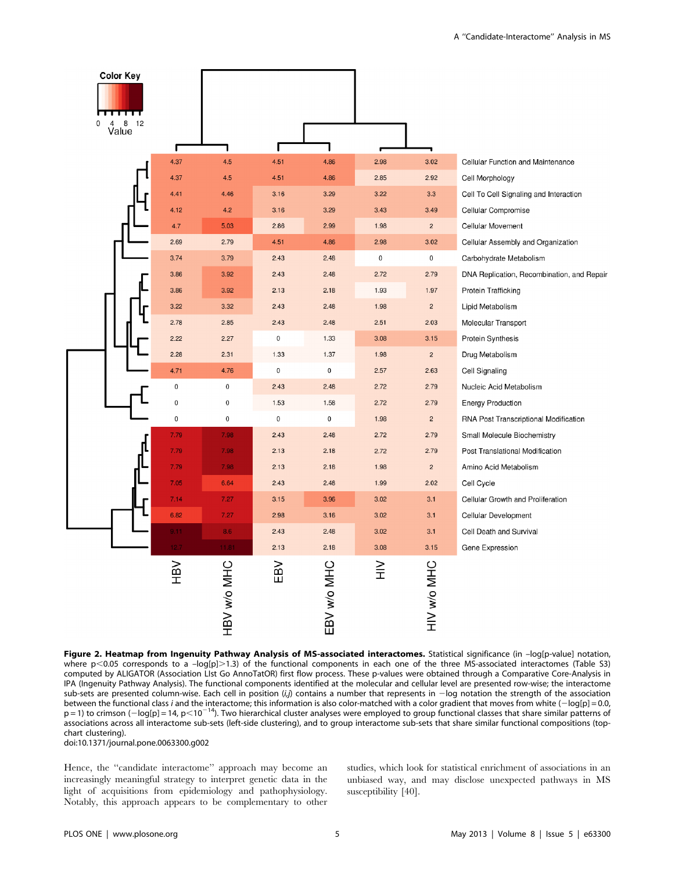| <b>Color Key</b>                   |            |                     |             |             |               |                    |                                            |
|------------------------------------|------------|---------------------|-------------|-------------|---------------|--------------------|--------------------------------------------|
| ┰┰┰┰                               |            |                     |             |             |               |                    |                                            |
| 12<br>$\mathbf 0$<br>$48$<br>Value |            |                     |             |             |               |                    |                                            |
|                                    | г          |                     |             |             |               |                    |                                            |
|                                    | 4.37       | 4.5                 | 4.51        | 4.86        | 2.98          | 3.02               | Cellular Function and Maintenance          |
|                                    | 4.37       | 4.5                 | 4.51        | 4.86        | 2.85          | 2.92               | Cell Morphology                            |
|                                    | 4.41       | 4.46                | 3.16        | 3.29        | 3.22          | 3.3                | Cell To Cell Signaling and Interaction     |
|                                    | 4.12       | 4.2                 | 3.16        | 3.29        | 3.43          | 3.49               | Cellular Compromise                        |
|                                    | 4.7        | 5.03                | 2.86        | 2.99        | 1.98          | $\overline{2}$     | Cellular Movement                          |
|                                    | 2.69       | 2.79                | 4.51        | 4.86        | 2.98          | 3.02               | Cellular Assembly and Organization         |
|                                    | 3.74       | 3.79                | 2.43        | 2.48        | $\pmb{0}$     | $\boldsymbol{0}$   | Carbohydrate Metabolism                    |
|                                    | 3.86       | 3.92                | 2.43        | 2.48        | 2.72          | 2.79               | DNA Replication, Recombination, and Repair |
|                                    | 3.86       | 3.92                | 2.13        | 2.18        | 1.93          | 1.97               | Protein Trafficking                        |
|                                    | 3.22       | 3.32                | 2.43        | 2.48        | 1.98          | $\overline{2}$     | Lipid Metabolism                           |
|                                    | 2.78       | 2.85                | 2.43        | 2.48        | 2.51          | 2.03               | Molecular Transport                        |
|                                    | 2.22       | 2.27                | $\mathbf 0$ | 1.33        | 3.08          | 3.15               | Protein Synthesis                          |
|                                    | 2.28       | 2.31                | 1.33        | 1.37        | 1.98          | $\overline{2}$     | Drug Metabolism                            |
|                                    | 4.71       | 4.76                | $\mathsf 0$ | $\mathbf 0$ | 2.57          | 2.63               | Cell Signaling                             |
|                                    | 0          | $\pmb{0}$           | 2.43        | 2.48        | 2.72          | 2.79               | Nucleic Acid Metabolism                    |
|                                    | $\bf 0$    | $\pmb{0}$           | 1.53        | 1.58        | 2.72          | 2.79               | <b>Energy Production</b>                   |
|                                    | 0          | $\pmb{0}$           | 0           | $\mathbf 0$ | 1.98          | $\overline{2}$     | RNA Post Transcriptional Modification      |
|                                    | 7.79       | 7.98                | 2.43        | 2.48        | 2.72          | 2.79               | Small Molecule Biochemistry                |
|                                    | 7.79       | 7.98                | 2.13        | 2.18        | 2.72          | 2.79               | Post Translational Modification            |
|                                    | 7.79       | 7.98                | 2.13        | 2.18        | 1.98          | $\overline{c}$     | Amino Acid Metabolism                      |
|                                    | 7.05       | 6.64                | 2.43        | 2.48        | 1.99          | 2.02               | Cell Cycle                                 |
|                                    | 7.14       | 7.27                | 3.15        | 3.96        | 3.02          | 3.1                | Cellular Growth and Proliferation          |
|                                    | 6.82       | 7.27                | 2.98        | 3.16        | 3.02          | 3.1                | Cellular Development                       |
|                                    | 9.11       | 8.6                 | 2.43        | 2.48        | 3.02          | 3.1                | Cell Death and Survival                    |
|                                    | 12.7       | 11.81               | 2.13        | 2.18        | 3.08          | 3.15               | Gene Expression                            |
|                                    | <b>NBH</b> |                     | EBV         |             | $\frac{>}{+}$ |                    |                                            |
|                                    |            |                     |             |             |               |                    |                                            |
|                                    |            | <b>JHIV own NBL</b> |             | EBV w/o MHC |               | <b>HIN w/o MHC</b> |                                            |
|                                    |            |                     |             |             |               |                    |                                            |
|                                    |            |                     |             |             |               |                    |                                            |

Figure 2. Heatmap from Ingenuity Pathway Analysis of MS-associated interactomes. Statistical significance (in -log[p-value] notation, where p<0.05 corresponds to a -log[p]>1.3) of the functional components in each one of the three MS-associated interactomes (Table S3) computed by ALIGATOR (Association LIst Go AnnoTatOR) first flow process. These p-values were obtained through a Comparative Core-Analysis in IPA (Ingenuity Pathway Analysis). The functional components identified at the molecular and cellular level are presented row-wise; the interactome sub-sets are presented column-wise. Each cell in position  $(i,j)$  contains a number that represents in  $-\log$  notation the strength of the association between the functional class *i* and the interactome; this information is also color-matched with a color gradient that moves from white (—log[p] = 0.0,<br>p = 1) to crimson (—log[p] = 14, p<10<sup>—14</sup>). Two hierarchical cluster associations across all interactome sub-sets (left-side clustering), and to group interactome sub-sets that share similar functional compositions (topchart clustering).

doi:10.1371/journal.pone.0063300.g002

Hence, the "candidate interactome" approach may become an increasingly meaningful strategy to interpret genetic data in the light of acquisitions from epidemiology and pathophysiology. Notably, this approach appears to be complementary to other

studies, which look for statistical enrichment of associations in an unbiased way, and may disclose unexpected pathways in MS susceptibility [40].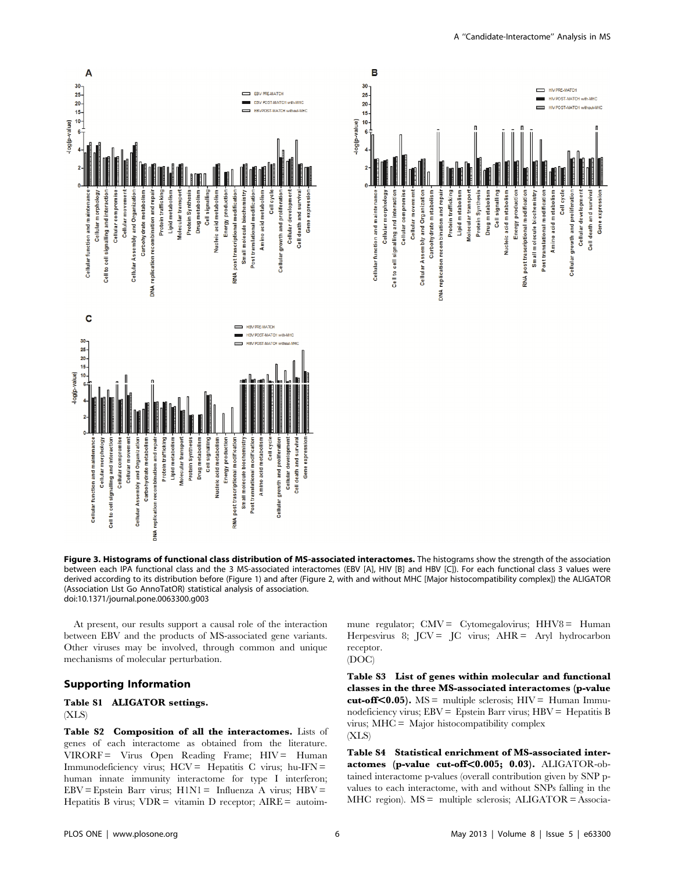

Figure 3. Histograms of functional class distribution of MS-associated interactomes. The histograms show the strength of the association between each IPA functional class and the 3 MS-associated interactomes (EBV [A], HIV [B] and HBV [C]). For each functional class 3 values were derived according to its distribution before (Figure 1) and after (Figure 2, with and without MHC [Major histocompatibility complex]) the ALIGATOR (Association LIst Go AnnoTatOR) statistical analysis of association. doi:10.1371/journal.pone.0063300.g003

At present, our results support a causal role of the interaction between EBV and the products of MS-associated gene variants. Other viruses may be involved, through common and unique mechanisms of molecular perturbation.

# Supporting Information

### Table S1 ALIGATOR settings. (XLS)

Table S2 Composition of all the interactomes. Lists of genes of each interactome as obtained from the literature. VIRORF = Virus Open Reading Frame; HIV = Human Immunodeficiency virus;  $HCV =$  Hepatitis C virus; hu-IFN = human innate immunity interactome for type I interferon;  $EBV = E$ pstein Barr virus;  $H1N1 = Influenza A virus; HBV =$ Hepatitis B virus;  $VDR =$  vitamin D receptor;  $AIRE =$  autoimmune regulator; CMV = Cytomegalovirus; HHV8 = Human Herpesvirus 8; JCV = JC virus; AHR = Aryl hydrocarbon receptor. (DOC)

Table S3 List of genes within molecular and functional classes in the three MS-associated interactomes (p-value cut-off $< 0.05$ ). MS = multiple sclerosis; HIV = Human Immunodeficiency virus; EBV = Epstein Barr virus; HBV = Hepatitis B virus; MHC = Major histocompatibility complex

#### (XLS)

Table S4 Statistical enrichment of MS-associated interactomes (p-value cut-off<0.005; 0.03). ALIGATOR-obtained interactome p-values (overall contribution given by SNP pvalues to each interactome, with and without SNPs falling in the  $MHC$  region).  $MS =$  multiple sclerosis;  $ALIGATOR =$ Associa-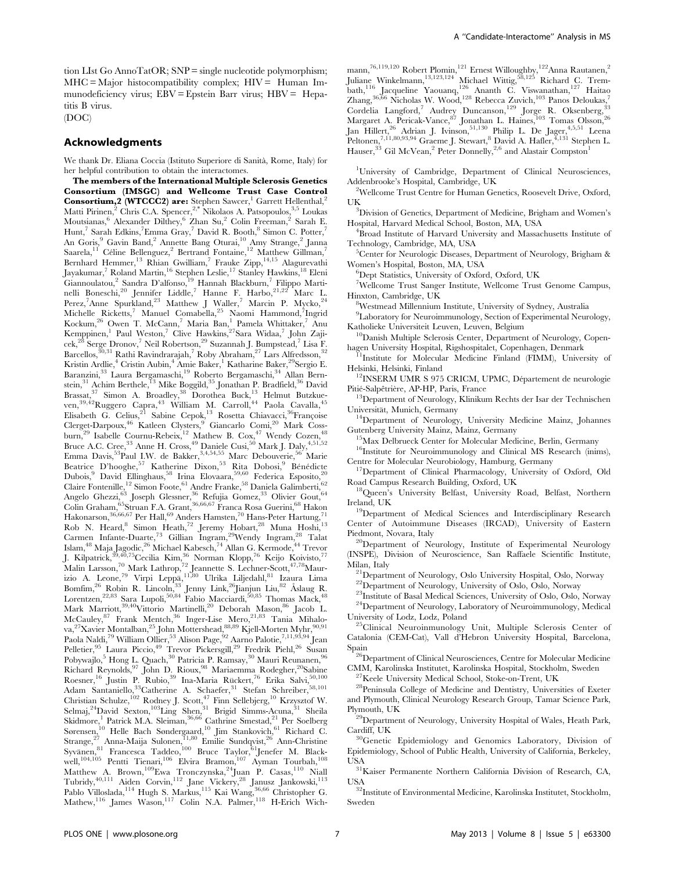tion LIst Go AnnoTatOR; SNP = single nucleotide polymorphism;  $MHC =$  Major histocompatibility complex;  $HIV =$  Human Immunodeficiency virus; EBV = Epstein Barr virus; HBV = Hepatitis B virus.

# (DOC)

# Acknowledgments

We thank Dr. Eliana Coccia (Istituto Superiore di Sanita`, Rome, Italy) for her helpful contribution to obtain the interactomes.

The members of the International Multiple Sclerosis Genetics Consortium (IMSGC) and Wellcome Trust Case Control **Consortium,2 (WTCCC2) are:** Stephen Sawcer,<sup>1</sup> Garrett Hellenthal,<sup>2</sup> Matti Pirinen,<sup>2</sup> Chris C.A. Spencer,<sup>2,\*</sup> Nikolaos A. Patsopoulos,<sup>3,5</sup> Loukas Moutsianas,6 Alexander Dilthey,6 Zhan Su,2 Colin Freeman,2 Sarah E. Hunt,<sup>7</sup> Sarah Edkins,<sup>7</sup> Emma Gray,<sup>7</sup> David R. Booth,<sup>8</sup> Simon C. Potter,<sup>7</sup> An Goris, <sup>9</sup> Gavin Band, <sup>2</sup> Annette Bang Oturai, <sup>10</sup> Amy Strange, <sup>2</sup> Janna Saarela,<sup>11</sup> Céline Bellenguez,<sup>2</sup> Bertrand Fontaine,<sup>12</sup> Matthew Gillman,<sup>7</sup> Bernhard Hemmer,<sup>13</sup> Rhian Gwilliam,<sup>7</sup> Frauke Zipp,<sup>14,15</sup> Alagurevathi Jayakumar,<sup>7</sup> Roland Martin,<sup>16</sup> Stephen Leslie,<sup>17</sup> Stanley Hawkins,<sup>18</sup> Eleni Giannoulatou,<sup>2</sup> Sandra D'alfonso,19 Hannah Blackburn,<sup>7</sup> Filippo Martinelli Boneschi,<sup>20</sup> Jennifer Liddle,<sup>7</sup> Hanne F. Harbo,<sup>21,22</sup> Marc L. Perez,<sup>7</sup>Anne Spurkland,<sup>23</sup> Matthew J Waller,<sup>7</sup> Marcin P. Mycko,<sup>24</sup> Michelle Ricketts,<sup>7</sup> Manuel Comabella,<sup>25</sup> Naomi Hammond,<sup>7</sup>Ingrid Kockum,<sup>26</sup> Owen T. McCann,<sup>7</sup> Maria Ban,<sup>1</sup> Pamela Whittaker,<sup>7</sup> Anu Kemppinen,<sup>1</sup> Paul Weston,<sup>7</sup> Clive Hawkins,<sup>27</sup>Sara Widaa,<sup>7</sup> John Zajicek, $^{28}$  Serge Dronov, $^7$  Neil Robertson, $^{29}$  Suzannah J. Bumpstead, $^7$  Lisa F. Barcellos,  $^{30,31}$  Rathi Ravindrarajah,<sup>7</sup> Roby Abraham,  $^{27}$  Lars Alfredsson,  $^{32}$ Kristin Ardlie,<sup>4</sup> Cristin Aubin,<sup>4</sup> Amie Baker,<sup>1</sup> Katharine Baker,<sup>29</sup>Sergio E. Baranzini,<sup>33</sup> Laura Bergamaschi,<sup>19</sup> Roberto Bergamaschi,<sup>34</sup> Allan Bernstein,<sup>31</sup> Achim Berthele, <sup>13</sup> Mike Boggild,<sup>35</sup> Jonathan P. Bradfield, <sup>36</sup> David Brassat,<sup>37</sup> Simon A. Broadley,<sup>38</sup> Dorothea Buck,<sup>13</sup> Helmut Butzkueven,<sup>39,42</sup>Ruggero Capra,<sup>43</sup> William M. Carroll,<sup>44</sup> Paola Cavalla,<sup>45</sup> Elisabeth G. Celius,<sup>21</sup> Sabine Cepok,<sup>13</sup> Rosetta Chiavacci,<sup>36</sup>Françoise Clerget-Darpoux,<sup>46</sup> Katleen Clysters,9 Giancarlo Comi,20 Mark Cossburn,<sup>29</sup> Isabelle Cournu-Rebeix,<sup>12</sup> Mathew B. Cox,<sup>47</sup> Wendy Cozen,<sup>48</sup> Bruce A.C. Cree,  $33$  Anne H. Cross,  $49$  Daniele Cusi,  $50$  Mark J. Daly,  $4,51,52$ Emma Davis,<sup>53</sup>Paul I.W. de Bakker,<sup>3,4,54,55</sup> Marc Debouverie,<sup>56</sup> Marie Beatrice D'hooghe,<sup>57</sup> Katherine Dixon,<sup>53</sup> Rita Dobosi,<sup>9</sup> Bénédicte Dubois,<sup>9</sup> David Ellinghaus,<sup>58</sup> Irina Elovaara,<sup>59,60</sup> Federica Esposito,<sup>20</sup> Claire Fontenille,<sup>12</sup> Simon Foote,<sup>61</sup> Andre Franke,<sup>58</sup> Daniela Galimberti,<sup>62</sup> Angelo Ghezzi,<sup>63</sup> Joseph Glessner,<sup>36</sup> Refujia Gomez,<sup>33</sup> Olivier Gout,<sup>64</sup> Colin Graham, 65Struan F.A. Grant, 36,66,67 Franca Rosa Guerini, 68 Hakon Hakonarson, $^{36,66,67}$  Per Hall, $^{69}$  Anders Hamsten, $^{70}$  Hans-Peter Hartung, $^{71}$ Rob N. Heard,<sup>8</sup> Simon Heath,<sup>72</sup> Jeremy Hobart,<sup>28</sup> Muna Hoshi,<sup>13</sup> Carmen Infante-Duarte,<sup>73</sup> Gillian Ingram,<sup>29</sup>Wendy Ingram,<sup>28</sup> Talat Islam,48 Maja Jagodic,26 Michael Kabesch,74 Allan G. Kermode,44 Trevor J. Kilpatrick,<sup>39,40,75</sup>Cecilia Kim,<sup>36</sup> Norman Klopp,<sup>76</sup> Keijo Koivisto,<sup>77</sup> Malin Larsson,<sup>70</sup> Mark Lathrop,<sup>72</sup> Jeannette S. Lechner-Scott,<sup>47,78</sup>Maurizio A. Leone,<sup>79</sup> Virpi Leppä,<sup>11,80</sup> Ulrika Liljedahl,<sup>81</sup> Izaura Lima Bomfim,<sup>26</sup> Robin R. Lincoln,<sup>33</sup> Jenny Link,<sup>26</sup>Jianjun Liu,<sup>82</sup> Åslaug R. Lorentzen,<sup>22,83</sup> Sara Lupoli,<sup>50,84</sup> Fabio Macciardi,<sup>50,85</sup> Thomas Mack,<sup>48</sup> Mark Marriott,<sup>39,40</sup>Vittorio Martinelli,<sup>20</sup> Deborah Mason,<sup>86</sup> Jacob L. McCauley, 87 Frank Mentch, 36 Inger-Lise Mero, 21,83 Tania Mihalova, $^{27}{\rm Xavier}$  Montalban, $^{25}$  John Mottershead, $^{88,89}$  Kjell-Morten Myhr, $^{90,91}$ Paola Naldi,<sup>79</sup> William Ollier,<sup>53</sup> Alison Page,<sup>92</sup> Aarno Palotie,<sup>7,11,93,94</sup> Jean Pelletier, <sup>95</sup> Laura Piccio, <sup>49</sup> Trevor Pickersgill, <sup>29</sup> Fredrik Piehl, <sup>26</sup> Susan Pobywajlo,<sup>5</sup> Hong L. Quach,<sup>30</sup> Patricia P. Ramsay,<sup>30</sup> Mauri Reunanen,<sup>96</sup> Richard Reynolds, 97 John D. Rioux, 98 Mariaemma Rodegher, 20Sabine Roesner,<sup>16</sup> Justin P. Rubio,<sup>39</sup> Ina-Maria Rückert,<sup>76</sup> Erika Salvi,<sup>50,100</sup> Adam Santaniello, 33 Catherine A. Schaefer, 31 Stefan Schreiber, 58,101 Christian Schulze,<sup>102</sup> Rodney J. Scott,<sup>47</sup> Finn Sellebjerg,<sup>10</sup> Krzysztof W. Selmaj,<sup>24</sup>David Sexton,<sup>103</sup>Ling Shen,<sup>31</sup> Brigid Simms-Acuna,<sup>31</sup> Sheila Skidmore,<sup>1</sup> Patrick M.A. Sleiman,<sup>36,66</sup> Cathrine Smestad,<sup>21</sup> Per Soelberg Sørensen,<sup>10</sup> Helle Bach Søndergaard,<sup>10</sup> Jim Stankovich,<sup>61</sup> Richard C. Strange,<sup>27</sup> Anna-Maija Sulonen,<sup>11,80</sup> Emilie Sundqvist,<sup>26</sup> Ann-Christine Syvänen, 81 Francesca Taddeo,<sup>100</sup> Bruce Taylor, <sup>61</sup>Jenefer M. Blackwell,<sup>104,105</sup> Pentti Tienari,<sup>106</sup> Elvira Bramon,<sup>107</sup> Ayman Tourbah,<sup>108</sup> Matthew A. Brown,<sup>109</sup>Ewa Tronczynska,<sup>24</sup>Juan P. Casas,<sup>110</sup> Niall Tubridy,<sup>40,111</sup> Aiden Corvin,<sup>112</sup> Jane Vickery,<sup>28</sup> Janusz Jankowski,<sup>113</sup> Pablo Villoslada,<sup>114</sup> Hugh S. Markus,<sup>115</sup> Kai Wang,<sup>36,66</sup> Christopher G. Mathew,<sup>116</sup> James Wason,<sup>117</sup> Colin N.A. Palmer,<sup>118</sup> H-Erich Wich-

mann,<sup>76,119,120</sup> Robert Plomin,<sup>121</sup> Ernest Willoughby,<sup>122</sup>Anna Rautanen,<sup>2</sup> Juliane Winkelmann,<sup>13,123,124</sup> Michael Wittig,<sup>58,125</sup> Richard C. Trembath,<sup>116</sup> Jacqueline Yaouanq,<sup>126</sup> Ananth C. Viswanathan,<sup>127</sup> Haitao Zhang,<sup>36,66</sup> Nicholas W. Wood,<sup>128</sup> Rebecca Zuvich,<sup>103</sup> Panos Deloukas,<sup>7</sup> Cordelia Langford,<sup>7</sup> Audrey Duncanson,<sup>129</sup> Jorge R. Oksenberg,<sup>33</sup> Margaret A. Pericak-Vance, 87 Jonathan L. Haines, 103 Tomas Olsson, 26 Jan Hillert,<sup>26</sup> Adrian J. Ivinson,<sup>51,130</sup> Philip L. De Jager,<sup>4,5,51</sup> Leena Peltonen,<sup>7,11,80,93,94</sup> Graeme J. Stewart,<sup>8</sup> David A. Hafler,<sup>4,131</sup> Stephen L. Hauser,<sup>33</sup> Gil McVean,<sup>2</sup> Peter Donnelly,<sup>2,6</sup> and Alastair Compston<sup>1</sup>

1 University of Cambridge, Department of Clinical Neurosciences, Addenbrooke's Hospital, Cambridge, UK <sup>2</sup>

<sup>2</sup>Wellcome Trust Centre for Human Genetics, Roosevelt Drive, Oxford, UK

 ${}^{3}$ Division of Genetics, Department of Medicine, Brigham and Women's Hospital, Harvard Medical School, Boston, MA, USA <sup>4</sup>

<sup>4</sup>Broad Institute of Harvard University and Massachusetts Institute of Technology, Cambridge, MA, USA <sup>5</sup>

<sup>5</sup>Center for Neurologic Diseases, Department of Neurology, Brigham & Women's Hospital, Boston, MA, USA <sup>6</sup>

Dept Statistics, University of Oxford, Oxford, UK

7 Wellcome Trust Sanger Institute, Wellcome Trust Genome Campus, Hinxton, Cambridge, UK <sup>8</sup>

Westmead Millennium Institute, University of Sydney, Australia

9 Laboratory for Neuroimmunology, Section of Experimental Neurology,

Katholieke Universiteit Leuven, Leuven, Belgium<br><sup>10</sup>Danish Multiple Sclerosis Center, Department of Neurology, Copen-<br>hagen University Hospital, Rigshospitalet, Copenhagen, Denmark

<sup>11</sup>Institute for Molecular Medicine Finland (FIMM), University of

Helsinki, Helsinki, Finland<br><sup>12</sup>INSERM UMR S 975 CRICM, UPMC, Département de neurologie<br>Pitié-Salpêtrière, AP-HP, Paris, France

 $^{13}$ Department of Neurology, Klinikum Rechts der Isar der Technischen Universität, Munich, Germany

 $14$ Department of Neurology, University Medicine Mainz, Johannes Gutenberg University Mainz, Mainz, Germany

 $^{15}$ Max Delbrueck Center for Molecular Medicine, Berlin, Germany  $^{16}$ Institute for Neuroimmunology and Clinical MS Research (inims), Centre for Molecular Neurobiology, Hamburg, Germany

<sup>17</sup>Department of Clinical Pharmacology, University of Oxford, Old Road Campus Research Building, Oxford, UK

 $\frac{18Q}{\text{ueen's}}$  University Belfast, University Road, Belfast, Northern Ireland, UK

<sup>19</sup>Department of Medical Sciences and Interdisciplinary Research Center of Autoimmune Diseases (IRCAD), University of Eastern

Piedmont, Novara, Italy 20Department of Neurology, Institute of Experimental Neurology (INSPE), Division of Neuroscience, San Raffaele Scientific Institute, Milan, Italy 21Department of Neurology, Oslo University Hospital, Oslo, Norway

<sup>22</sup>Department of Neurology, University of Oslo, Oslo, Norway

<sup>23</sup>Institute of Basal Medical Sciences, University of Oslo, Oslo, Norway 24Department of Neurology, Laboratory of Neuroimmunology, Medical

University of Lodz, Lodz, Poland<br><sup>25</sup>Clinical Neuroinmunology Unit, Multiple Sclerosis Center of Catalonia (CEM-Cat), Vall d'Hebron University Hospital, Barcelona,

Spain  $\mathrm{^{26}D}$  pepartment of Clinical Neurosciences, Centre for Molecular Medicine CMM, Karolinska Institutet, Karolinska Hospital, Stockholm, Sweden $\mathrm{^{27}Keele}$ University Medical School, Stoke-on-Trent, UK

28Peninsula College of Medicine and Dentistry, Universities of Exeter and Plymouth, Clinical Neurology Research Group, Tamar Science Park,

Plymouth, UK<br><sup>29</sup>Department of Neurology, University Hospital of Wales, Heath Park,

Cardiff, UK<br><sup>30</sup>Genetic Epidemiology and Genomics Laboratory, Division of Epidemiology, School of Public Health, University of California, Berkeley,

USA $\rm ^{31}K$ aiser Permanente Northern California Division of Research, CA,

USA $\rm ^{32}$ Institute of Environmental Medicine, Karolinska Institutet, Stockholm, Sweden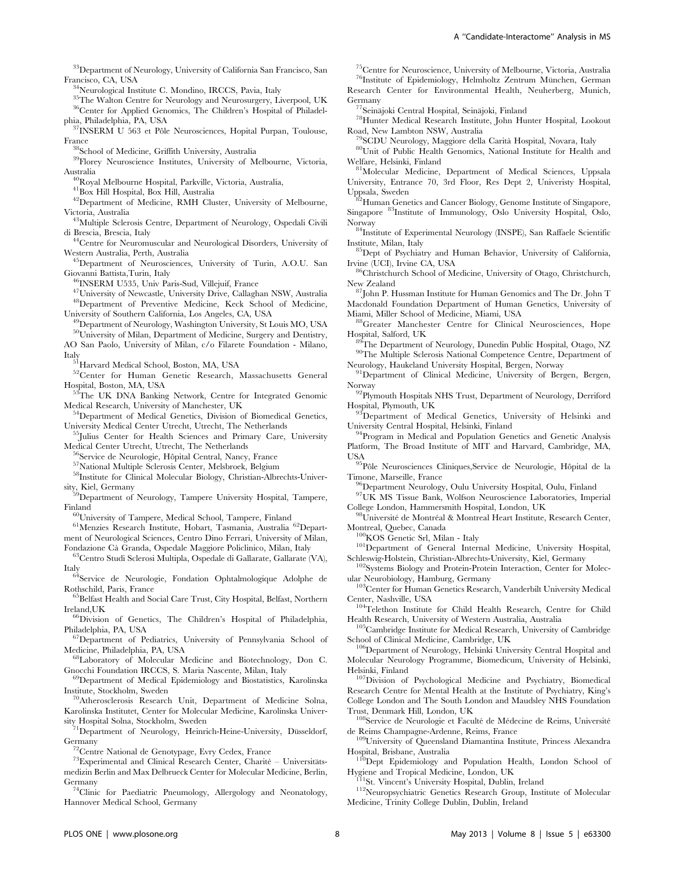$^{33}\!$  Department of Neurology, University of California San Francisco, San Francisco, CA. USA

<sup>34</sup>Neurological Institute C. Mondino, IRCCS, Pavia, Italy  $^{35}$ The Walton Centre for Neurology and Neurosurgery, Liverpool, UK  $^{36}$ Center for Applied Genomics. The Children's Hospital of Philadel-

phia, Philadelphia, PA, USA 37INSERM U 563 et Pôle Neurosciences, Hopital Purpan, Toulouse,

France <sup>38</sup>School of Medicine, Griffith University, Australia <sup>39</sup>Florey Neuroscience Institutes, University of Melbourne, Victoria, Australia

<sup>40</sup>Royal Melbourne Hospital, Parkville, Victoria, Australia,  $^{41}$ Box Hill Hospital, Box Hill, Australia  $^{42}$ Department of Medicine, RMH Cluster, University of Melbourne, Victoria. Australia

 $^{43}$ Multiple Sclerosis Centre, Department of Neurology, Ospedali Civili di Brescia, Brescia, Italy

 $^{44}$ Centre for Neuromuscular and Neurological Disorders, University of Western Australia, Perth, Australia

<sup>45</sup>Department of Neurosciences, University of Turin, A.O.U. San

Giovanni Battista,Turin, Italy <sup>46</sup>INSERM U535, Univ Paris-Sud, Villejuif, France <sup>47</sup>University of Newcastle, University Drive, Callaghan NSW, Australia <sup>48</sup>Department of Preventive Medicine, Keck School of Medicine, Univ

<sup>49</sup>Department of Neurology, Washington University, St Louis MO, USA  $^{50}$ University of Milan, Department of Medicine, Surgery and Dentistry,

AO San Paolo, University of Milan, c/o Filarete Foundation - Milano,

Italy $$\rm ^{51}\rm{Harvard\; Medical\; School, Boston, MA, USA}$$   $$\rm ^{52}\rm{Center}$  for Human Genetic Research, Massachusetts General

Hospital, Boston, MA, USA 53The UK DNA Banking Network, Centre for Integrated Genomic

Medical Research, University of Manchester, UK<br>54Department of Medical Genetics, Division of Biomedical Genetics,<br>University Medical Center Utrecht, Utrecht, The Netherlands

University Medical Center for Health Sciences and Primary Care, University

Medical Center Utrecht, Utrecht, The Netherlands<br><sup>56</sup>Service de Neurologie, Hôpital Central, Nancy, France<br><sup>57</sup>National Multiple Sclerosis Center, Melsbroek, Belgium<br><sup>58</sup>Institute for Clinical Molecular Biology, Christian-

sity, Kiel, Germany  $^{59}{\rm Department~of~Neurology,~Tampere~University~Hospital,~Tampere,}$ 

Finland<br><sup>60</sup>University of Tampere, Medical School, Tampere, Finland<br><sup>61</sup>Menzies Research Institute, Hobart, Tasmania, Australia <sup>62</sup>Department of Neurological Sciences, Centro Dino Ferrari, University of Milan,

<sup>63</sup> Centro Studi Sclerosi Multipla, Ospedale di Gallarate, Gallarate (VA),

Italy<br><sup>64</sup>Service de Neurologie, Fondation Ophtalmologique Adolphe de<br>Rothschild, Paris, France

 ${}^{65}$ Belfast Health and Social Care Trust, City Hospital, Belfast, Northern

Ireland,UK 66Division of Genetics, The Children's Hospital of Philadelphia, Philadelphia, PA, USA

 ${}^{67}$ Department of Pediatrics, University of Pennsylvania School of

Medicine, Philadelphia, PA, USA 68Laboratory of Molecular Medicine and Biotechnology, Don C. Gnocchi Foundation IRCCS, S. Maria Nascente, Milan, Italy 69Department of Medical Epidemiology and Biostatistics, Karolinska

Institute, Stockholm, Sweden 70Atherosclerosis Research Unit, Department of Medicine Solna,

Karolinska Institutet, Center for Molecular Medicine, Karolinska Univer-

sity Hospital Solna, Stockholm, Sweden 7<sup>71</sup>Department of Neurology, Heinrich-Heine-University, Düsseldorf,

Germany<br><sup>72</sup>Centre National de Genotypage, Evry Cedex, France<br><sup>73</sup>Experimental and Clinical Research Center, Charité – Universitätsmedizin Berlin and Max Delbrueck Center for Molecular Medicine, Berlin,

Germany<br><sup>74</sup>Clinic for Paediatric Pneumology, Allergology and Neonatology, Hannover Medical School, Germany

<sup>75</sup>Centre for Neuroscience, University of Melbourne, Victoria, Australia  $^{76}$ Institute of Epidemiology, Helmholtz Zentrum München, German Research Center for Environmental Health, Neuherberg, Munich,

Germany<br><sup>77</sup>Seinäjoki Central Hospital, Seinäjoki, Finland<br><sup>78</sup>Hunter Medical Research Institute, John Hunter Hospital, Lookout<br>Road, New Lambton NSW, Australia

<sup>79</sup>SCDU Neurology, Maggiore della Carità Hospital, Novara, Italy 80Unit of Public Health Genomics, National Institute for Health and Welfare, Helsinki, Finland<br><sup>81</sup>Molecular Medicine, Department of Medical Sciences, Uppsala

University, Entrance 70, 3rd Floor, Res Dept 2, Univeristy Hospital,

Uppsala, Sweden 82Human Genetics and Cancer Biology, Genome Institute of Singapore, Singapore <sup>83</sup>Institute of Immunology, Oslo University Hospital, Oslo,

Norway 84Institute of Experimental Neurology (INSPE), San Raffaele Scientific

Institute, Milan, Italy 85Dept of Psychiatry and Human Behavior, University of California, Irvine (UCI), Irvine CA, USA<br><sup>86</sup>Christchurch School of Medicine, University of Otago, Christchurch,

New Zealand<br><sup>87</sup>John P. Hussman Institute for Human Genomics and The Dr. John T

Macdonald Foundation Department of Human Genetics, University of

 $^{88}$ Greater Manchester Centre for Clinical Neurosciences, Hope Hospital Salford UK

<sup>89</sup>The Department of Neurology, Dunedin Public Hospital, Otago, NZ<br><sup>90</sup>The Multiple Sclerosis National Competence Centre, Department of<br>Neurology, Haukeland University Hospital, Bergen, Norway

<sup>91</sup>Department of Clinical Medicine, University of Bergen, Bergen,

Norway 92Plymouth Hospitals NHS Trust, Department of Neurology, Derriford

Hospital, Plymouth, UK<br><sup>93</sup>Department of Medical Genetics, University of Helsinki and<br>University Central Hospital, Helsinki, Finland

<sup>94</sup>Program in Medical and Population Genetics and Genetic Analysis Platform, The Broad Institute of MIT and Harvard, Cambridge, MA,

<sup>95</sup>Pôle Neurosciences Cliniques, Service de Neurologie, Hôpital de la

Timone, Marseille, France 1960<br><sup>96</sup>Department Neurology, Oulu University Hospital, Oulu, Finland 197UK MS Tissue Bank, Wolfson Neuroscience Laboratories, Imperial

College London, Hammersmith Hospital, London, UK<br><sup>98</sup>Université de Montréal & Montreal Heart Institute, Research Center, Montreal, Quebec, Canada

 $^{100}$ KOS Genetic Srl, Milan - Italy  $^{101}$ Department of General Internal Medicine, University Hospital, Schleswig-Holstein, Christian-Albrechts-University, Kiel, Germany

<sup>2</sup>Systems Biology and Protein-Protein Interaction, Center for Molec-

ular Neurobiology, Hamburg, Germany 103<br>Center for Human Genetics Research, Vanderbilt University Medical Center, Nashville, USA

 $^{104}$  Telethon Institute for Child Health Research, Centre for Child Health Research, University of Western Australia, Australia

 $^{105}$ Cambridge Institute for Medical Research, University of Cambridge

School of Clinical Medicine, Cambridge, UK<br><sup>106</sup>Department of Neurology, Helsinki University Central Hospital and Molecular Neurology Programme, Biomedicum, University of Helsinki,

Helsinki, Finland 107 Division of Psychological Medicine and Psychiatry, Biomedical Research Centre for Mental Health at the Institute of Psychiatry, King's College London and The South London and Maudsley NHS Foundation

 $108$ Service de Neurologie et Faculté de Médecine de Reims, Université de Reims Champagne-Ardenne, Reims, France

 $\frac{109}{\text{University of Queensland Diamond Institute, Principles Alexander Hospital, Brisbane, Australia}}$ 

<sup>0</sup>Dept Epidemiology and Population Health, London School of

Hygiene and Tropical Medicine, London, UK  $111$ St. Vincent's University Hospital, Dublin, Ireland  $112$ Neuropsychiatric Genetics Research Group, Institute of Molecular Medicine, Trinity College Dublin, Dublin, Ireland